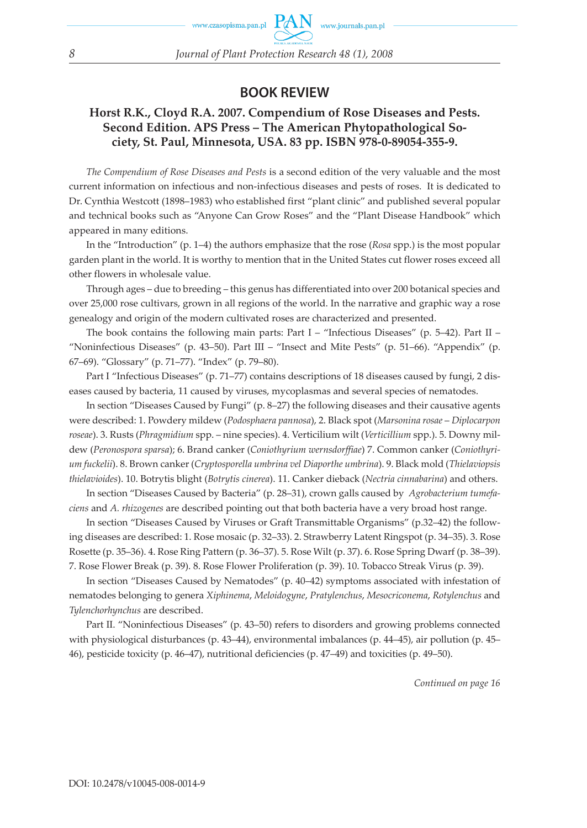## **BOOK REVIEW**

## **Horst R.K., Cloyd R.A. 2007. Compendium of Rose Diseases and Pests. Second Edition. APS Press – The American Phytopathological Society, St. Paul, Minnesota, USA. 83 pp. ISBN 978-0-89054-355-9.**

*The Compendium of Rose Diseases and Pests* is a second edition of the very valuable and the most current information on infectious and non-infectious diseases and pests of roses. It is dedicated to Dr. Cynthia Westcott (1898–1983) who established first "plant clinic" and published several popular and technical books such as "Anyone Can Grow Roses" and the "Plant Disease Handbook" which appeared in many editions.

In the "Introduction" (p. 1–4) the authors emphasize that the rose (*Rosa* spp.) is the most popular garden plant in the world. It is worthy to mention that in the United States cut flower roses exceed all other flowers in wholesale value.

Through ages – due to breeding – this genus has differentiated into over 200 botanical species and over 25,000 rose cultivars, grown in all regions of the world. In the narrative and graphic way a rose genealogy and origin of the modern cultivated roses are characterized and presented.

The book contains the following main parts: Part I – "Infectious Diseases" (p.  $5-42$ ). Part II – "Noninfectious Diseases" (p. 43–50). Part III – "Insect and Mite Pests" (p. 51–66). "Appendix" (p. 67–69). "Glossary" (p. 71–77). "Index" (p. 79–80).

Part I "Infectious Diseases" (p. 71–77) contains descriptions of 18 diseases caused by fungi, 2 diseases caused by bacteria, 11 caused by viruses, mycoplasmas and several species of nematodes.

In section "Diseases Caused by Fungi" (p. 8–27) the following diseases and their causative agents were described: 1. Powdery mildew (*Podosphaera pannosa*), 2. Black spot (*Marsonina rosae* – *Diplocarpon roseae*). 3. Rusts (*Phragmidium* spp. – nine species). 4. Verticilium wilt (*Verticillium* spp.). 5. Downy mildew (*Peronospora sparsa*); 6. Brand canker (*Coniothyrium wernsdorffiae*) 7. Common canker (*Coniothyrium fuckelii*). 8. Brown canker (*Cryptosporella umbrina vel Diaporthe umbrina*). 9. Black mold (*Thielaviopsis thielavioides*). 10. Botrytis blight (*Botrytis cinerea*). 11. Canker dieback (*Nectria cinnabarina*) and others.

In section "Diseases Caused by Bacteria" (p. 28–31), crown galls caused by *Agrobacterium tumefaciens* and *A. rhizogenes* are described pointing out that both bacteria have a very broad host range.

In section "Diseases Caused by Viruses or Graft Transmittable Organisms" (p.32–42) the following diseases are described: 1. Rose mosaic (p. 32–33). 2. Strawberry Latent Ringspot (p. 34–35). 3. Rose Rosette (p. 35–36). 4. Rose Ring Pattern (p. 36–37). 5. Rose Wilt (p. 37). 6. Rose Spring Dwarf (p. 38–39). 7. Rose Flower Break (p. 39). 8. Rose Flower Proliferation (p. 39). 10. Tobacco Streak Virus (p. 39).

In section "Diseases Caused by Nematodes" (p. 40–42) symptoms associated with infestation of nematodes belonging to genera *Xiphinema*, *Meloidogyne*, *Pratylenchus*, *Mesocriconema*, *Rotylenchus* and *Tylenchorhynchus* are described.

Part II. "Noninfectious Diseases" (p. 43–50) refers to disorders and growing problems connected with physiological disturbances (p. 43–44), environmental imbalances (p. 44–45), air pollution (p. 45– 46), pesticide toxicity (p. 46–47), nutritional deficiencies (p. 47–49) and toxicities (p. 49–50).

*Continued on page 16*